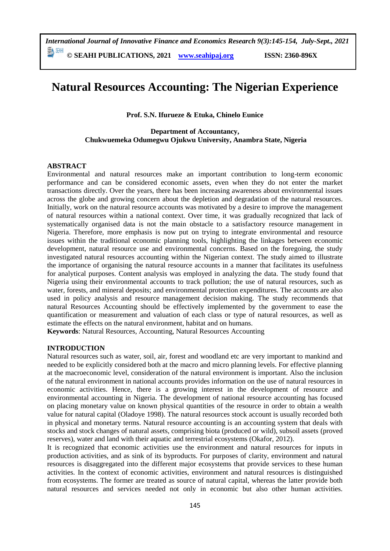*International Journal of Innovative Finance and Economics Research 9(3):145-154, July-Sept., 2021* 動卵 **© SEAHI PUBLICATIONS, 2021 [www.seahipaj.org](http://www.seahipaj.org/) ISSN: 2360-896X**

# **Natural Resources Accounting: The Nigerian Experience**

**Prof. S.N. Ifurueze & Etuka, Chinelo Eunice**

# **Department of Accountancy, Chukwuemeka Odumegwu Ojukwu University, Anambra State, Nigeria**

#### **ABSTRACT**

Environmental and natural resources make an important contribution to long-term economic performance and can be considered economic assets, even when they do not enter the market transactions directly. Over the years, there has been increasing awareness about environmental issues across the globe and growing concern about the depletion and degradation of the natural resources. Initially, work on the natural resource accounts was motivated by a desire to improve the management of natural resources within a national context. Over time, it was gradually recognized that lack of systematically organised data is not the main obstacle to a satisfactory resource management in Nigeria. Therefore, more emphasis is now put on trying to integrate environmental and resource issues within the traditional economic planning tools, highlighting the linkages between economic development, natural resource use and environmental concerns. Based on the foregoing, the study investigated natural resources accounting within the Nigerian context. The study aimed to illustrate the importance of organising the natural resource accounts in a manner that facilitates its usefulness for analytical purposes. Content analysis was employed in analyzing the data. The study found that Nigeria using their environmental accounts to track pollution; the use of natural resources, such as water, forests, and mineral deposits; and environmental protection expenditures. The accounts are also used in policy analysis and resource management decision making. The study recommends that natural Resources Accounting should be effectively implemented by the government to ease the quantification or measurement and valuation of each class or type of natural resources, as well as estimate the effects on the natural environment, habitat and on humans.

**Keywords**: Natural Resources, Accounting, Natural Resources Accounting

# **INTRODUCTION**

Natural resources such as water, soil, air, forest and woodland etc are very important to mankind and needed to be explicitly considered both at the macro and micro planning levels. For effective planning at the macroeconomic level, consideration of the natural environment is important. Also the inclusion of the natural environment in national accounts provides information on the use of natural resources in economic activities. Hence, there is a growing interest in the development of resource and environmental accounting in Nigeria. The development of national resource accounting has focused on placing monetary value on known physical quantities of the resource in order to obtain a wealth value for natural capital (Oladoye 1998). The natural resources stock account is usually recorded both in physical and monetary terms. Natural resource accounting is an accounting system that deals with stocks and stock changes of natural assets, comprising biota (produced or wild), subsoil assets (proved reserves), water and land with their aquatic and terrestrial ecosystems (Okafor, 2012).

It is recognized that economic activities use the environment and natural resources for inputs in production activities, and as sink of its byproducts. For purposes of clarity, environment and natural resources is disaggregated into the different major ecosystems that provide services to these human activities. In the context of economic activities, environment and natural resources is distinguished from ecosystems. The former are treated as source of natural capital, whereas the latter provide both natural resources and services needed not only in economic but also other human activities.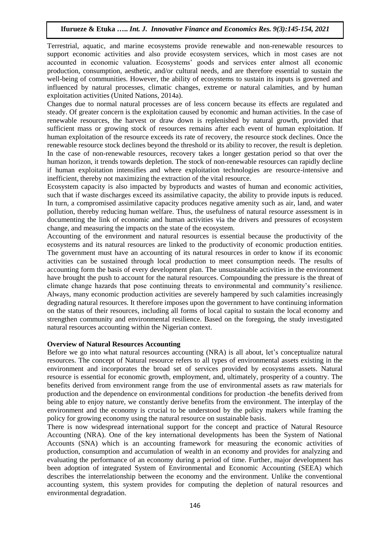Terrestrial, aquatic, and marine ecosystems provide renewable and non-renewable resources to support economic activities and also provide ecosystem services, which in most cases are not accounted in economic valuation. Ecosystems' goods and services enter almost all economic production, consumption, aesthetic, and/or cultural needs, and are therefore essential to sustain the well-being of communities. However, the ability of ecosystems to sustain its inputs is governed and influenced by natural processes, climatic changes, extreme or natural calamities, and by human exploitation activities (United Nations, 2014a).

Changes due to normal natural processes are of less concern because its effects are regulated and steady. Of greater concern is the exploitation caused by economic and human activities. In the case of renewable resources, the harvest or draw down is replenished by natural growth, provided that sufficient mass or growing stock of resources remains after each event of human exploitation. If human exploitation of the resource exceeds its rate of recovery, the resource stock declines. Once the renewable resource stock declines beyond the threshold or its ability to recover, the result is depletion. In the case of non-renewable resources, recovery takes a longer gestation period so that over the human horizon, it trends towards depletion. The stock of non-renewable resources can rapidly decline if human exploitation intensifies and where exploitation technologies are resource-intensive and inefficient, thereby not maximizing the extraction of the vital resource.

Ecosystem capacity is also impacted by byproducts and wastes of human and economic activities, such that if waste discharges exceed its assimilative capacity, the ability to provide inputs is reduced. In turn, a compromised assimilative capacity produces negative amenity such as air, land, and water pollution, thereby reducing human welfare. Thus, the usefulness of natural resource assessment is in documenting the link of economic and human activities via the drivers and pressures of ecosystem change, and measuring the impacts on the state of the ecosystem.

Accounting of the environment and natural resources is essential because the productivity of the ecosystems and its natural resources are linked to the productivity of economic production entities. The government must have an accounting of its natural resources in order to know if its economic activities can be sustained through local production to meet consumption needs. The results of accounting form the basis of every development plan. The unsustainable activities in the environment have brought the push to account for the natural resources. Compounding the pressure is the threat of climate change hazards that pose continuing threats to environmental and community's resilience. Always, many economic production activities are severely hampered by such calamities increasingly degrading natural resources. It therefore imposes upon the government to have continuing information on the status of their resources, including all forms of local capital to sustain the local economy and strengthen community and environmental resilience. Based on the foregoing, the study investigated natural resources accounting within the Nigerian context.

#### **Overview of Natural Resources Accounting**

Before we go into what natural resources accounting (NRA) is all about, let's conceptualize natural resources. The concept of Natural resource refers to all types of environmental assets existing in the environment and incorporates the broad set of services provided by ecosystems assets. Natural resource is essential for economic growth, employment, and, ultimately, prosperity of a country. The benefits derived from environment range from the use of environmental assets as raw materials for production and the dependence on environmental conditions for production -the benefits derived from being able to enjoy nature, we constantly derive benefits from the environment. The interplay of the environment and the economy is crucial to be understood by the policy makers while framing the policy for growing economy using the natural resource on sustainable basis.

There is now widespread international support for the concept and practice of Natural Resource Accounting (NRA). One of the key international developments has been the System of National Accounts (SNA) which is an accounting framework for measuring the economic activities of production, consumption and accumulation of wealth in an economy and provides for analyzing and evaluating the performance of an economy during a period of time. Further, major development has been adoption of integrated System of Environmental and Economic Accounting (SEEA) which describes the interrelationship between the economy and the environment. Unlike the conventional accounting system, this system provides for computing the depletion of natural resources and environmental degradation.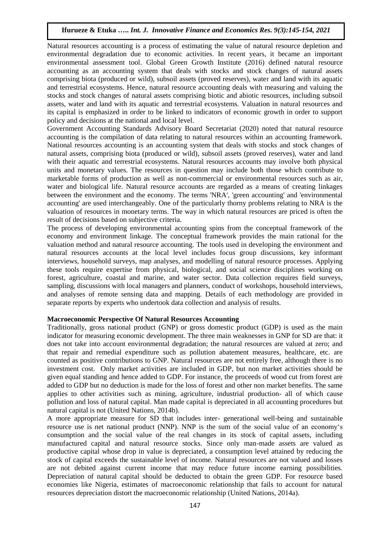Natural resources accounting is a process of estimating the value of natural resource depletion and environmental degradation due to economic activities. In recent years, it became an important environmental assessment tool. Global Green Growth Institute (2016) defined natural resource accounting as an accounting system that deals with stocks and stock changes of natural assets comprising biota (produced or wild), subsoil assets (proved reserves), water and land with its aquatic and terrestrial ecosystems. Hence, natural resource accounting deals with measuring and valuing the stocks and stock changes of natural assets comprising biotic and abiotic resources, including subsoil assets, water and land with its aquatic and terrestrial ecosystems. Valuation in natural resources and its capital is emphasized in order to be linked to indicators of economic growth in order to support policy and decisions at the national and local level.

Government Accounting Standards Advisory Board Secretariat (2020) noted that natural resource accounting is the compilation of data relating to natural resources within an accounting framework. National resources accounting is an accounting system that deals with stocks and stock changes of natural assets, comprising biota (produced or wild), subsoil assets (proved reserves), water and land with their aquatic and terrestrial ecosystems. Natural resources accounts may involve both physical units and monetary values. The resources in question may include both those which contribute to marketable forms of production as well as non-commercial or environmental resources such as air, water and biological life. Natural resource accounts are regarded as a means of creating linkages between the environment and the economy. The terms 'NRA', 'green accounting' and 'environmental accounting' are used interchangeably. One of the particularly thorny problems relating to NRA is the valuation of resources in monetary terms. The way in which natural resources are priced is often the result of decisions based on subjective criteria.

The process of developing environmental accounting spins from the conceptual framework of the economy and environment linkage. The conceptual framework provides the main rational for the valuation method and natural resource accounting. The tools used in developing the environment and natural resources accounts at the local level includes focus group discussions, key informant interviews, household surveys, map analyses, and modelling of natural resource processes. Applying these tools require expertise from physical, biological, and social science disciplines working on forest, agriculture, coastal and marine, and water sector. Data collection requires field surveys, sampling, discussions with local managers and planners, conduct of workshops, household interviews, and analyses of remote sensing data and mapping. Details of each methodology are provided in separate reports by experts who undertook data collection and analysis of results.

#### **Macroeconomic Perspective Of Natural Resources Accounting**

Traditionally, gross national product (GNP) or gross domestic product (GDP) is used as the main indicator for measuring economic development. The three main weaknesses in GNP for SD are that: it does not take into account environmental degradation; the natural resources are valued at zero; and that repair and remedial expenditure such as pollution abatement measures, healthcare, etc. are counted as positive contributions to GNP. Natural resources are not entirely free, although there is no investment cost. Only market activities are included in GDP, but non market activities should be given equal standing and hence added to GDP. For instance, the proceeds of wood cut from forest are added to GDP but no deduction is made for the loss of forest and other non market benefits. The same applies to other activities such as mining, agriculture, industrial production- all of which cause pollution and loss of natural capital. Man made capital is depreciated in all accounting procedures but natural capital is not (United Nations, 2014b).

A more appropriate measure for SD that includes inter- generational well-being and sustainable resource use is net national product (NNP). NNP is the sum of the social value of an economy's consumption and the social value of the real changes in its stock of capital assets, including manufactured capital and natural resource stocks. Since only man-made assets are valued as productive capital whose drop in value is depreciated, a consumption level attained by reducing the stock of capital exceeds the sustainable level of income. Natural resources are not valued and losses are not debited against current income that may reduce future income earning possibilities. Depreciation of natural capital should be deducted to obtain the green GDP. For resource based economies like Nigeria, estimates of macroeconomic relationship that fails to account for natural resources depreciation distort the macroeconomic relationship (United Nations, 2014a).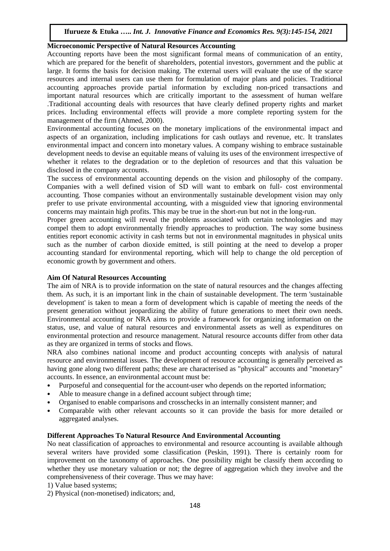## **Microeconomic Perspective of Natural Resources Accounting**

Accounting reports have been the most significant formal means of communication of an entity, which are prepared for the benefit of shareholders, potential investors, government and the public at large. It forms the basis for decision making. The external users will evaluate the use of the scarce resources and internal users can use them for formulation of major plans and policies. Traditional accounting approaches provide partial information by excluding non-priced transactions and important natural resources which are critically important to the assessment of human welfare .Traditional accounting deals with resources that have clearly defined property rights and market prices. Including environmental effects will provide a more complete reporting system for the management of the firm (Ahmed, 2000).

Environmental accounting focuses on the monetary implications of the environmental impact and aspects of an organization, including implications for cash outlays and revenue, etc. It translates environmental impact and concern into monetary values. A company wishing to embrace sustainable development needs to devise an equitable means of valuing its uses of the environment irrespective of whether it relates to the degradation or to the depletion of resources and that this valuation be disclosed in the company accounts.

The success of environmental accounting depends on the vision and philosophy of the company. Companies with a well defined vision of SD will want to embark on full- cost environmental accounting. Those companies without an environmentally sustainable development vision may only prefer to use private environmental accounting, with a misguided view that ignoring environmental concerns may maintain high profits. This may be true in the short-run but not in the long-run.

Proper green accounting will reveal the problems associated with certain technologies and may compel them to adopt environmentally friendly approaches to production. The way some business entities report economic activity in cash terms but not in environmental magnitudes in physical units such as the number of carbon dioxide emitted, is still pointing at the need to develop a proper accounting standard for environmental reporting, which will help to change the old perception of economic growth by government and others.

# **Aim Of Natural Resources Accounting**

The aim of NRA is to provide information on the state of natural resources and the changes affecting them. As such, it is an important link in the chain of sustainable development. The term 'sustainable development' is taken to mean a form of development which is capable of meeting the needs of the present generation without jeopardizing the ability of future generations to meet their own needs. Environmental accounting or NRA aims to provide a framework for organizing information on the status, use, and value of natural resources and environmental assets as well as expenditures on environmental protection and resource management. Natural resource accounts differ from other data as they are organized in terms of stocks and flows.

NRA also combines national income and product accounting concepts with analysis of natural resource and environmental issues. The development of resource accounting is generally perceived as having gone along two different paths; these are characterised as "physical" accounts and "monetary" accounts. In essence, an environmental account must be:

- Purposeful and consequential for the account-user who depends on the reported information;
- Able to measure change in a defined account subject through time;
- Organised to enable comparisons and crosschecks in an internally consistent manner; and
- Comparable with other relevant accounts so it can provide the basis for more detailed or aggregated analyses.

## **Different Approaches To Natural Resource And Environmental Accounting**

No neat classification of approaches to environmental and resource accounting is available although several writers have provided some classification (Peskin, 1991). There is certainly room for improvement on the taxonomy of approaches. One possibility might be classify them according to whether they use monetary valuation or not; the degree of aggregation which they involve and the comprehensiveness of their coverage. Thus we may have:

- 1) Value based systems;
- 2) Physical (non-monetised) indicators; and,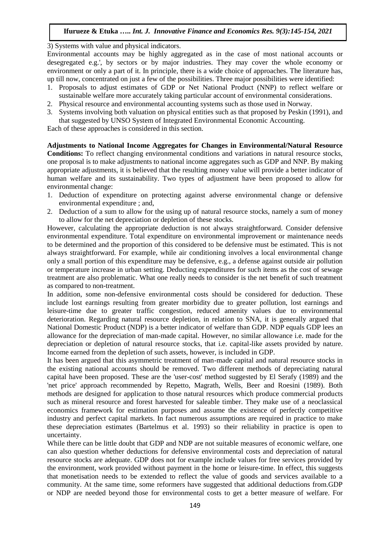3) Systems with value and physical indicators.

Environmental accounts may be highly aggregated as in the case of most national accounts or desegregated e.g.', by sectors or by major industries. They may cover the whole economy or environment or only a part of it. In principle, there is a wide choice of approaches. The literature has, up till now, concentrated on just a few of the possibilities. Three major possibilities were identified:

- 1. Proposals to adjust estimates of GDP or Net National Product (NNP) to reflect welfare or sustainable welfare more accurately taking particular account of environmental considerations.
- 2. Physical resource and environmental accounting systems such as those used in Norway.
- 3. Systems involving both valuation on physical entities such as that proposed by Peskin (1991), and that suggested by UNSO System of Integrated Environmental Economic Accounting.

Each of these approaches is considered in this section.

**Adjustments to National Income Aggregates for Changes in Environmental/Natural Resource Conditions:** To reflect changing environmental conditions and variations in natural resource stocks, one proposal is to make adjustments to national income aggregates such as GDP and NNP. By making appropriate adjustments, it is believed that the resulting money value will provide a better indicator of human welfare and its sustainability. Two types of adjustment have been proposed to allow for environmental change:

- 1. Deduction of expenditure on protecting against adverse environmental change or defensive environmental expenditure ; and,
- 2. Deduction of a sum to allow for the using up of natural resource stocks, namely a sum of money to allow for the net depreciation or depletion of these stocks.

However, calculating the appropriate deduction is not always straightforward. Consider defensive environmental expenditure. Total expenditure on environmental improvement or maintenance needs to be determined and the proportion of this considered to be defensive must be estimated. This is not always straightforward. For example, while air conditioning involves a local environmental change only a small portion of this expenditure may be defensive, e.g., a defense against outside air pollution or temperature increase in urban setting. Deducting expenditures for such items as the cost of sewage treatment are also problematic. What one really needs to consider is the net benefit of such treatment as compared to non-treatment.

In addition, some non-defensive environmental costs should be considered for deduction. These include lost earnings resulting from greater morbidity due to greater pollution, lost earnings and leisure-time due to greater traffic congestion, reduced amenity values due to environmental deterioration. Regarding natural resource depletion, in relation to SNA, it is generally argued that National Domestic Product (NDP) is a better indicator of welfare than GDP. NDP equals GDP lees an allowance for the depreciation of man-made capital. However, no similar allowance i.e. made for the depreciation or depletion of natural resource stocks, that i.e. capital-like assets provided by nature. Income earned from the depletion of such assets, however, is included in GDP.

It has been argued that this asymmetric treatment of man-made capital and natural resource stocks in the existing national accounts should be removed. Two different methods of depreciating natural capital have been proposed. These are the 'user-cost' method suggested by El Serafy (1989) and the 'net price' approach recommended by Repetto, Magrath, Wells, Beer and Roesini (1989). Both methods are designed for application to those natural resources which produce commercial products such as mineral resource and forest harvested for saleable timber. They make use of a neoclassical economics framework for estimation purposes and assume the existence of perfectly competitive industry and perfect capital markets. In fact numerous assumptions are required in practice to make these depreciation estimates (Bartelmus et al. 1993) so their reliability in practice is open to uncertainty.

While there can be little doubt that GDP and NDP are not suitable measures of economic welfare, one can also question whether deductions for defensive environmental costs and depreciation of natural resource stocks are adequate. GDP does not for example include values for free services provided by the environment, work provided without payment in the home or leisure-time. In effect, this suggests that monetisation needs to be extended to reflect the value of goods and services available to a community. At the same time, some reformers have suggested that additional deductions from.GDP or NDP are needed beyond those for environmental costs to get a better measure of welfare. For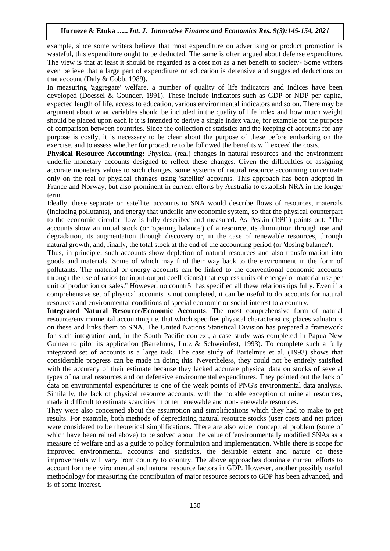example, since some writers believe that most expenditure on advertising or product promotion is wasteful, this expenditure ought to be deducted. The same is often argued about defense expenditure. The view is that at least it should be regarded as a cost not as a net benefit to society- Some writers even believe that a large part of expenditure on education is defensive and suggested deductions on that account (Daly & Cobb, 1989).

In measuring 'aggregate' welfare, a number of quality of life indicators and indices have been developed (Doessel & Gounder, 1991). These include indicators such as GDP or NDP per capita, expected length of life, access to education, various environmental indicators and so on. There may be argument about what variables should be included in the quality of life index and how much weight should be placed upon each if it is intended to derive a single index value, for example for the purpose of comparison between countries. Since the collection of statistics and the keeping of accounts for any purpose is costly, it is necessary to be clear about the purpose of these before embarking on the exercise, and to assess whether for procedure to be followed the benefits will exceed the costs.

**Physical Resource Accounting:** Physical (real) changes in natural resources and the environment underlie monetary accounts designed to reflect these changes. Given the difficulties of assigning accurate monetary values to such changes, some systems of natural resource accounting concentrate only on the real or physical changes using 'satellite' accounts. This approach has been adopted in France and Norway, but also prominent in current efforts by Australia to establish NRA in the longer term.

Ideally, these separate or 'satellite' accounts to SNA would describe flows of resources, materials (including pollutants), and energy that underlie any economic system, so that the physical counterpart to the economic circular flow is fully described and measured. As Peskin (1991) points out: "The accounts show an initial stock (or 'opening balance') of a resource, its diminution through use and degradation, its augmentation through discovery or, in the case of renewable resources, through natural growth, and, finally, the total stock at the end of the accounting period (or 'dosing balance').

Thus, in principle, such accounts show depletion of natural resources and also transformation into goods and materials. Some of which may find their way back to the environment in the form of pollutants. The material or energy accounts can be linked to the conventional economic accounts through the use of ratios (or input-output coefficients) that express units of energy/ or material use per unit of production or sales." However, no countr5r has specified all these relationships fully. Even if a comprehensive set of physical accounts is not completed, it can be useful to do accounts for natural resources and environmental conditions of special economic or social interest to a country.

**Integrated Natural Resource/Economic Accounts**: The most comprehensive form of natural resource/environmental accounting i.e. that which specifies physical characteristics, places valuations on these and links them to SNA. The United Nations Statistical Division has prepared a framework for such integration and, in the South Pacific context, a case study was completed in Papua New Guinea to pilot its application (Bartelmus, Lutz & Schweinfest, 1993). To complete such a fully integrated set of accounts is a large task. The case study of Bartelmus et al. (1993) shows that considerable progress can be made in doing this. Nevertheless, they could not be entirely satisfied with the accuracy of their estimate because they lacked accurate physical data on stocks of several types of natural resources and on defensive environmental expenditures. They pointed out the lack of data on environmental expenditures is one of the weak points of PNG's environmental data analysis. Similarly, the lack of physical resource accounts, with the notable exception of mineral resources, made it difficult to estimate scarcities in other renewable and non-renewable resources.

They were also concerned about the assumption and simplifications which they had to make to get results. For example, both methods of depreciating natural resource stocks (user costs and net price) were considered to be theoretical simplifications. There are also wider conceptual problem (some of which have been rained above) to be solved about the value of 'environmentally modified SNAs as a measure of welfare and as a guide to policy formulation and implementation. While there is scope for improved environmental accounts and statistics, the desirable extent and nature of these improvements will vary from country to country. The above approaches dominate current efforts to account for the environmental and natural resource factors in GDP. However, another possibly useful methodology for measuring the contribution of major resource sectors to GDP has been advanced, and is of some interest.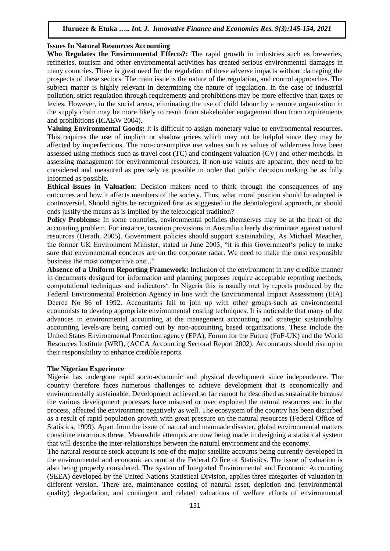# **Issues In Natural Resources Accounting**

**Who Regulates the Environmental Effects?:** The rapid growth in industries such as breweries, refineries, tourism and other environmental activities has created serious environmental damages in many countries. There is great need for the regulation of these adverse impacts without damaging the prospects of these sectors. The main issue is the nature of the regulation, and control approaches. The subject matter is highly relevant in determining the nature of regulation. In the case of industrial pollution, strict regulation through requirements and prohibitions may be more effective than taxes or levies. However, in the social arena, eliminating the use of child labour by a remote organization in the supply chain may be more likely to result from stakeholder engagement than from requirements and prohibitions (ICAEW 2004).

**Valuing Environmental Goods:** It is difficult to assign monetary value to environmental resources. This requires the use of implicit or shadow prices which may not be helpful since they may be affected by imperfections. The non-consumptive use values such as values of wilderness have been assessed using methods such as travel cost (TC) and contingent valuation (CV) and other methods. In assessing management for environmental resources, if non-use values are apparent, they need to be considered and measured as precisely as possible in order that public decision making be as fully informed as possible.

**Ethical issues in Valuation**: Decision makers need to think through the consequences of any outcomes and how it affects members of the society. Thus, what moral position should be adopted is controversial, Should rights be recognized first as suggested in the deontological approach, or should ends justify the means as is implied by the teleological tradition?

**Policy Problems:** In some countries, environmental policies themselves may be at the heart of the accounting problem. For instance, taxation provisions in Australia clearly discriminate against natural resources (Herath, 2005). Government policies should support sustainability, As Michael Meacher, the former UK Environment Minister, stated in June 2003, "it is this Government's policy to make sure that environmental concerns are on the corporate radar. We need to make the most responsible business the most competitive one..."

**Absence of a Uniform Reporting Framework:** Inclusion of the environment in any credible manner in documents designed for information and planning purposes require acceptable reporting methods, computational techniques and indicators'. In Nigeria this is usually met by reports produced by the Federal Environmental Protection Agency in line with the Environmental Impact Assessment (EIA) Decree No 86 of 1992. Accountants fail to join up with other groups-such as environmental economists to develop appropriate environmental costing techniques. It is noticeable that many of the advances in environmental accounting at the management accounting and strategic sustainability accounting levels-are being carried out by non-accounting based organizations. These include the United States Environmental Protection agency (EPA), Forum for the Future (FoF-UK) and the World Resources Institute (WRI), (ACCA Accounting Sectoral Report 2002). Accountants should rise up to their responsibility to enhance credible reports.

#### **The Nigerian Experience**

Nigeria has undergone rapid socio-economic and physical development since independence. The country therefore faces numerous challenges to achieve development that is economically and environmentally sustainable. Development achieved so far cannot be described as sustainable because the various development processes have misused or over exploited the natural resources and in the process, affected the environment negatively as well. The ecosystem of the country has been disturbed as a result of rapid population growth with great pressure on the natural resources (Federal Office of Statistics, 1999). Apart from the issue of natural and manmade disaster, global environmental matters constitute enormous threat. Meanwhile attempts are now being made in designing a statistical system that will describe the inter-relationships between the natural environment and the economy.

The natural resource stock account is one of the major satellite accounts being currently developed in the environmental and economic account at the Federal Office of Statistics. The issue of valuation is also being properly considered. The system of Integrated Environmental and Economic Accounting (SEEA) developed by the United Nations Statistical Division, applies three categories of valuation in different version. There are, maintenance costing of natural asset, depletion and (environmental quality) degradation, and contingent and related valuations of welfare efforts of environmental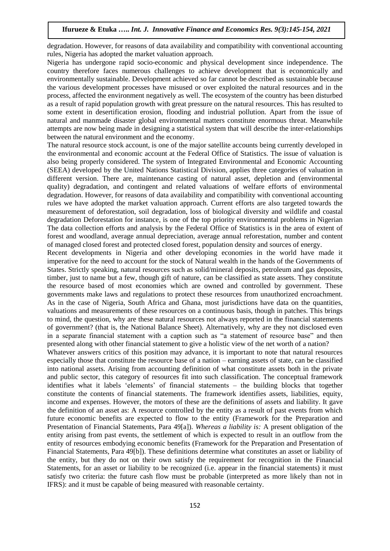degradation. However, for reasons of data availability and compatibility with conventional accounting rules, Nigeria has adopted the market valuation approach.

Nigeria has undergone rapid socio-economic and physical development since independence. The country therefore faces numerous challenges to achieve development that is economically and environmentally sustainable. Development achieved so far cannot be described as sustainable because the various development processes have misused or over exploited the natural resources and in the process, affected the environment negatively as well. The ecosystem of the country has been disturbed as a result of rapid population growth with great pressure on the natural resources. This has resulted to some extent in desertification erosion, flooding and industrial pollution. Apart from the issue of natural and manmade disaster global environmental matters constitute enormous threat. Meanwhile attempts are now being made in designing a statistical system that will describe the inter-relationships between the natural environment and the economy.

The natural resource stock account, is one of the major satellite accounts being currently developed in the environmental and economic account at the Federal Office of Statistics. The issue of valuation is also being properly considered. The system of Integrated Environmental and Economic Accounting (SEEA) developed by the United Nations Statistical Division, applies three categories of valuation in different version. There are, maintenance casting of natural asset, depletion and (environmental quality) degradation, and contingent and related valuations of welfare efforts of environmental degradation. However, for reasons of data availability and compatibility with conventional accounting rules we have adopted the market valuation approach. Current efforts are also targeted towards the measurement of deforestation, soil degradation, loss of biological diversity and wildlife and coastal degradation Deforestation for instance, is one of the top priority environmental problems in Nigerian The data collection efforts and analysis by the Federal Office of Statistics is in the area of extent of forest and woodland, average annual depreciation, average annual reforestation, number and content of managed closed forest and protected closed forest, population density and sources of energy.

Recent developments in Nigeria and other developing economies in the world have made it imperative for the need to account for the stock of Natural wealth in the hands of the Governments of States. Strictly speaking, natural resources such as solid/mineral deposits, petroleum and gas deposits, timber, just to name but a few, though gift of nature, can be classified as state assets. They constitute the resource based of most economies which are owned and controlled by government. These governments make laws and regulations to protect these resources from unauthorized encroachment. As in the case of Nigeria, South Africa and Ghana, most jurisdictions have data on the quantities, valuations and measurements of these resources on a continuous basis, though in patches. This brings to mind, the question, why are these natural resources not always reported in the financial statements of government? (that is, the National Balance Sheet). Alternatively, why are they not disclosed even in a separate financial statement with a caption such as "a statement of resource base" and then presented along with other financial statement to give a holistic view of the net worth of a nation?

Whatever answers critics of this position may advance, it is important to note that natural resources especially those that constitute the resource base of a nation – earning assets of state, can be classified into national assets. Arising from accounting definition of what constitute assets both in the private and public sector, this category of resources fit into such classification. The conceptual framework identifies what it labels 'elements' of financial statements – the building blocks that together constitute the contents of financial statements. The framework identifies assets, liabilities, equity, income and expenses. However, the motors of these are the definitions of assets and liability. It gave the definition of an asset as: A resource controlled by the entity as a result of past events from which future economic benefits are expected to flow to the entity (Framework for the Preparation and Presentation of Financial Statements, Para 49[a]). *Whereas a liability is:* A present obligation of the entity arising from past events, the settlement of which is expected to result in an outflow from the entity of resources embodying economic benefits (Framework for the Preparation and Presentation of Financial Statements, Para 49[b]). These definitions determine what constitutes an asset or liability of the entity, but they do not on their own satisfy the requirement for recognition in the Financial Statements, for an asset or liability to be recognized (i.e. appear in the financial statements) it must satisfy two criteria: the future cash flow must be probable (interpreted as more likely than not in IFRS): and it must be capable of being measured with reasonable certainty.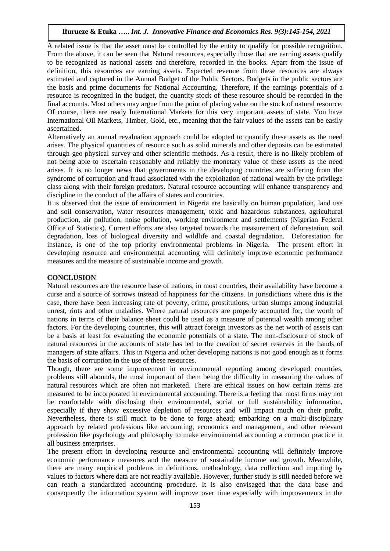A related issue is that the asset must be controlled by the entity to qualify for possible recognition. From the above, it can be seen that Natural resources, especially those that are earning assets qualify to be recognized as national assets and therefore, recorded in the books. Apart from the issue of definition, this resources are earning assets. Expected revenue from these resources are always estimated and captured in the Annual Budget of the Public Sectors. Budgets in the public sectors are the basis and prime documents for National Accounting. Therefore, if the earnings potentials of a resource is recognized in the budget, the quantity stock of these resource should be recorded in the final accounts. Most others may argue from the point of placing value on the stock of natural resource. Of course, there are ready International Markets for this very important assets of state. You have International Oil Markets, Timber, Gold, etc., meaning that the fair values of the assets can be easily ascertained.

Alternatively an annual revaluation approach could be adopted to quantify these assets as the need arises. The physical quantities of resource such as solid minerals and other deposits can be estimated through geo-physical survey and other scientific methods. As a result, there is no likely problem of not being able to ascertain reasonably and reliably the monetary value of these assets as the need arises. It is no longer news that governments in the developing countries are suffering from the syndrome of corruption and fraud associated with the exploitation of national wealth by the privilege class along with their foreign predators. Natural resource accounting will enhance transparency and discipline in the conduct of the affairs of states and countries.

It is observed that the issue of environment in Nigeria are basically on human population, land use and soil conservation, water resources management, toxic and hazardous substances, agricultural production, air pollution, noise pollution, working environment and settlements (Nigerian Federal Office of Statistics). Current efforts are also targeted towards the measurement of deforestation, soil degradation, loss of biological diversity and wildlife and coastal degradation. Deforestation for instance, is one of the top priority environmental problems in Nigeria. The present effort in developing resource and environmental accounting will definitely improve economic performance measures and the measure of sustainable income and growth.

## **CONCLUSION**

Natural resources are the resource base of nations, in most countries, their availability have become a curse and a source of sorrows instead of happiness for the citizens. In jurisdictions where this is the case, there have been increasing rate of poverty, crime, prostitutions, urban slumps among industrial unrest, riots and other maladies. Where natural resources are properly accounted for, the worth of nations in terms of their balance sheet could be used as a measure of potential wealth among other factors. For the developing countries, this will attract foreign investors as the net worth of assets can be a basis at least for evaluating the economic potentials of a state. The non-disclosure of stock of natural resources in the accounts of state has led to the creation of secret reserves in the hands of managers of state affairs. This in Nigeria and other developing nations is not good enough as it forms the basis of corruption in the use of these resources.

Though, there are some improvement in environmental reporting among developed countries, problems still abounds, the most important of them being the difficulty in measuring the values of natural resources which are often not marketed. There are ethical issues on how certain items are measured to be incorporated in environmental accounting. There is a feeling that most firms may not be comfortable with disclosing their environmental, social or full sustainability information, especially if they show excessive depletion of resources and will impact much on their profit. Nevertheless, there is still much to be done to forge ahead; embarking on a multi-disciplinary approach by related professions like accounting, economics and management, and other relevant profession like psychology and philosophy to make environmental accounting a common practice in all business enterprises.

The present effort in developing resource and environmental accounting will definitely improve economic performance measures and the measure of sustainable income and growth. Meanwhile, there are many empirical problems in definitions, methodology, data collection and imputing by values to factors where data are not readily available. However, further study is still needed before we can reach a standardized accounting procedure. It is also envisaged that the data base and consequently the information system will improve over time especially with improvements in the